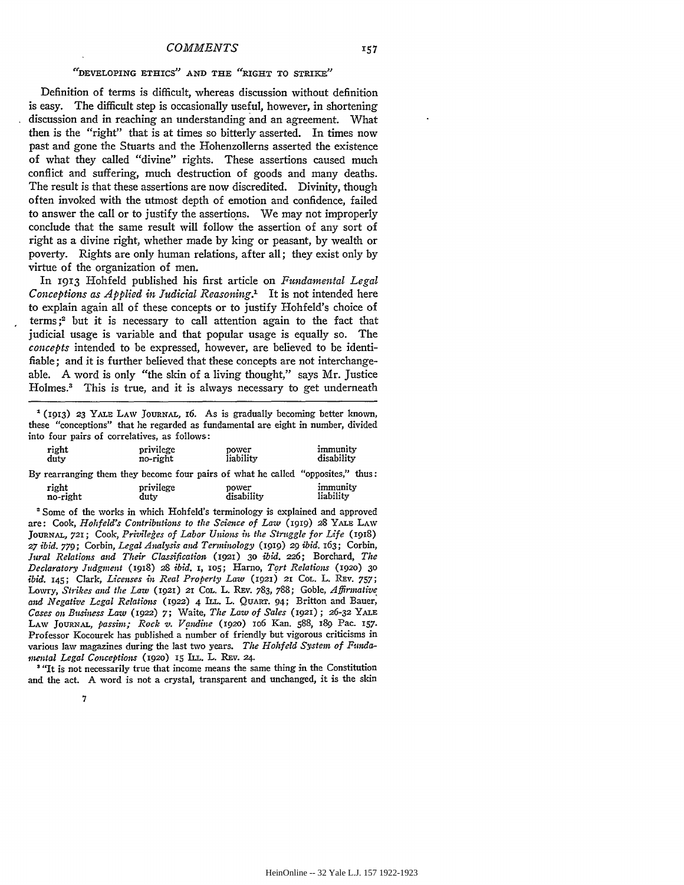## **"'DEVELOPING ETHICS" AND THE ""RIGHT TO STRIKE"** "DEVELOPING ETHICS" AND THE "RIGHT TO STRIKE"

Definition of terms is difficult, whereas discussion without definition Definition of terms is difficult, whereas discussion without definition is easy. The difficult step is occasionally useful, however, in shortening is easy. The difficult step is occasionally useful, however, in shortening discussion and in reaching an understanding and an agreement. What discussion and in reaching an understanding and an agreement. What then is the "right" that is at times so bitterly asserted. In times now then is the "right" that is at times so bitterly asserted. In times now past and gone the Stuarts and the Hohenzollerns asserted the existence past and gone the Stuarts and the Hohenzollerns asserted the existence of what they called "divine" rights. These assertions caused much of what they called "divine" rights. These assertions caused much conflict and suffering, much destruction of goods and many deaths. conflict and suffering, much destruction of goods and many deaths. The result is that these assertions are now discredited. Divinity, though The result is that these assertions are now discredited. Divinity, though often invoked with the utmost depth of emotion and confidence, failed to answer the call or to justify the assertions. We may not improperly conclude that the same result will follow the assertion of any sort of right as a divine right, whether made **by** king or peasant, **by** wealth or right as a divine right, whether made by king or peasant, by wealth or poverty. Rights are only human relations, after all; they exist only **by** poverty. Rights are only human relations, after all; they exist only by virtue of the organization of men. virtue of the organization of men.

In 1913 Hohfeld published his first article on *Fundamental Legal* In 1913 Hohfeld published his first article on *Fundamental Legal Conceptions as Applied in Judicial Reasoning.Y* It is not intended here *Conceptions as Applied in Judicial Reasoning.1* It is not intended here to explain again all of these concepts or to justify Hohfeld's choice of to explain again all of these concepts or to justify Hohfeld's choice of terms ;2 but it is necessary to call attention again to the fact that terms;2 but it is necessary to call attention again to the fact that judicial usage is variable and that popular usage is equally so. The judicial usage is variable and that popular usage is equally so. The *concepts* intended to be expressed, however, are believed to be identi-*concepts* intended to be expressed, however, are believed to be identifiable; and it is further believed that these concepts are not interchange-fiable; and it is further believed that these concepts are not interchangeable. A word is only "the skin of a living thought," says Mr. Justice able. A word is only "the skin of a living thought," says Mr. Justice Holmes.3 This is true, and it is always necessary to get underneath Holmes.3 This is true, and it is always necessary to get underneath

**S(1913) 23** YALE LAW **JOURNAL,** 16. As is gradually becoming better known, (1913) 23 YALE LAW JOURNAL, 16. As is gradually becoming better known, these "conceptions" that he regarded as fundamental are eight in number, divided these "conceptions" that he regarded as fundamental are eight in number, divided into four pairs of correlatives, as follows: into four pairs of correlatives, as follows:

| right | privilege | power     | immunity   |
|-------|-----------|-----------|------------|
| duty  | no-right  | liability | disability |

|          |           | By rearranging them they become four pairs of what he called "opposites," thus: |           |  |
|----------|-----------|---------------------------------------------------------------------------------|-----------|--|
| right    | privilege | <b>power</b>                                                                    | immunity  |  |
| no-right | dutv      | disability                                                                      | liability |  |

<sup>2</sup> Some of the works in which Hohfeld's terminology is explained and approved are: Cook, *Hohfeld's Contributions to the Science of Law* (1919) 28 YALE LAW Tournot, 721; Cook, Privileges of Labor Unions in the Struggle for Life (1918)<br>27 ibid. 770: Cook, Privileges of Labor Unions in the Struggle for Life (1918) Jural Relations and Their Classification (1921) 30 ibid. 226; Borchard, The Declaratory Judgment (1918) 28 ibid. 1, 105; Harno, Tort Relations (1920) 30 *ibid.* 145; Clark, *Licenses in Real Property Law* (1921) 21 COL. L. REV. *757; ibid.* 145; Clark, *Licenses* i1~ *Real Property Law* (1921) 21 COL. L. REv. 757; *Lowry, Strikes and the Law* (1921) 21 CoL. L. *REv.* 783, 788; Goble, *Affirmative... and Negative Legal Relations* (1922) 4 ILL. L. QUART. 94; Britton and Bauer, *and Negative Legal Relations* (1922) 4 lLL. L. QUART. 94; Britton and Bauer, Cases on Business Law (1922) 7; Waite, The Law of Sales (1921); 26-32 YALE LAW **JOURNAL,** *passim; Rock v. Vandine* (192o) io6 Kan. 588, 189 Pac. **157.** LAW JOURNAL, *passim; Rock* 'V. *Vandine* (1920) 106 Kan. 588, ISg Pac. 157· Professor Kocourek has published a number of friendly but vigorous criticisms in Professor Kocourek has published a ~umber of friendly but vigorous criticisms in various law magazines during the last two years. *The Hohfeld System of Funda-*various law magazines during the last two years. *The Hohfeld System of F1t1wa,-. mental Legal Conceptions* (1920) **15** Iii. L. REv. 24. *11wntal Legal* C*onceptiolls* (1920) 15 lLL. L. *REv. 24.* are: Cook, *Hohfeld's Contributions to the Science of Law* (1919) 28 YALE LAW *27 ibid.* 779; Corbin, *Legal Analysis alld Terminology* (1919) 29 *ibid.* 163; Corbin,

 $\frac{1}{2}$  "It is not necessarily true that income means the same thing in the Constitution and the act. A word is not a crystal, transparent and unchanged, it is the skin and the act. A word is not a crystal, transparent and unchanged, it is the skin

**7** 7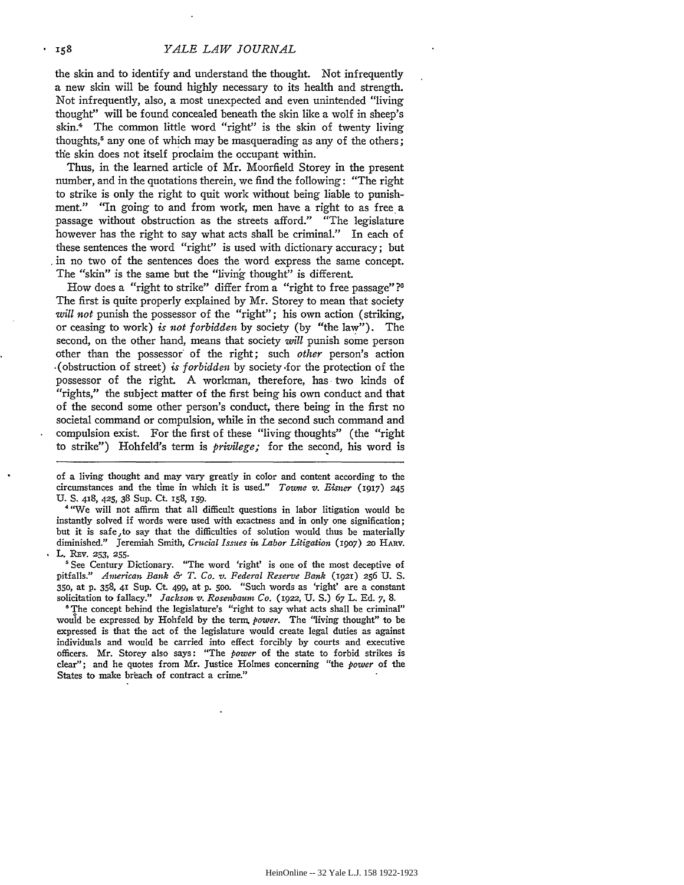the skin and to identify and understand the thought. Not infrequently the skin and to identify and understand the thought. Not infrequently a new skin will be found highly necessary to its health and strength. a new skin will be found highly necessary to its health and strength. Not infrequently, also, a most unexpected and even unintended "living Not infrequently, also, a most unexpected and even unintended "living thought" will be found concealed beneath the skin like a wolf in sheep's thought" will be found concealed beneath the skin like a wolf in sheep's skin.4 The common little word "right" is the skin of twenty living skin.4 The common little word "right" is the skin of twenty living thoughts,<sup>5</sup> any one of which may be masquerading as any of the others; the skin does not itself proclaim the occupant within.

Thus, in the learned article of Mr. Moorfield Storey in the present Thus, in the learned article of Mr. Moorfield Storey in the present number, and in the quotations therein, we find the following: "The right number, and in the quotations therein, we find the following: "The right to strike is only the right to quit work without being liable to punish-to strike is only the right to quit work without being liable to punishment." "In going to and from work, men have a right to as free, a ment." "In going to and from work, men have a right to as free. a passage without obstruction as the streets afford." "The legislature passage without obstruction as the streets afford." "The legislature however has the right to say what acts shall be criminal." In each of however has the right to say what acts shall be criminal." In each of these sentences the word "right" is used with dictionary accuracy; but these sentences the word "right" is used with dictionary accuracy; but in no two of the sentences does the word express the same concept. . in no two of the sentences does the word express the same concept. The "skin" is the same but the "living thought" is different. The "skin" is the same but the "living thought" is different.

How does a "right to strike" differ from a "right to free passage"?<sup>6</sup> The first is quite properly explained by Mr. Storey to mean that society The first is quite properly explained by Mr. Storey to mean that society *will not* punish the possessor of the "right"; his own action (striking, *will not* punish the possessor of the "right"; his own action (striking, or ceasing to work) *is not forbidden* by society (by "the law"). The or ceasing to work) *is not forbidden* by society (by "the law"). The second, on the other hand, means that society *will* punish some person other than the possessor' of the right; such *other* person's action other than the possessor' of the right; such *other* person's action .(obstruction of street) *is forbidden* by society -for the protection of the .(obstruction of street) *is forbidden* by society .for the protection of the possessor of the right. A workman, therefore, has two kinds of possessor of the right. A workman, therefore, has, two kinds of "rights," the subject matter of the first being his own conduct and that of the second some other person's conduct, there being in the first no of the second some other person's conduct, there being in the first no societal command or compulsion, while in the second such command and compulsion exist. For the first of these "living thoughts" (the "right compulsion exist. For the first of these "living thoughts" (the "right to strike") Hohfeld's term is *privilege;* for the second, his word is

"We will not affirm that all difficult questions in labor litigation would be <sup>4</sup> "We will not affirm that all difficult questions in labor litigation would instantly solved if words were used with exactness and in only one signification; instantly solved if words were used with exactness and in only one signification; but it is safe, to say that the difficulties of solution would thus be materially diminished." Jeremiah Smith, *Crucial Issues in Labor Litigation (1907)* 20 **HARV.** L. **REV. 253, 255.**

<sup>5</sup> See Century Dictionary. "The word 'right' is one of the most deceptive of diminished." Jeremiah Smith, Crucial Issues in Labor Litigation (1907) 20 HARV.<br>L. REV. 253, 255.<br><sup>5</sup> See Century Dictionary. "The word 'right' is one of the most deceptive of pitfalls." *American Bank & T. Co. v. Federal* **350,** at p. 358, 41 Sup. Ct. 499, at p. 5oo. "Such words as 'right' are a constant 350, at p. 358, 4I Sup. Ct. 499, at p. 500. "Such words as 'right' are a constant solicitation to fallacy." Jackson v. Rosenbaum Co. (1922, U. S.) 67 L. Ed. 7, 8.

<sup>6</sup> The concept behind the legislature's "right to say what acts shall be criminal" would be expressed by Hohfeld by the term, *power*. The "living thought" to be expressed is that the act of the legislature would create would be expressed by Hohfeld by the term, *power.* The "living thought" to be expressed is that the act of the legislature would create legal duties as against individuals and would be carried into effect forcibly by courts and executive officers. Mr. Storey also says: "The *power* of the state to forbid strikes is clear"; and he quotes from Mr. Justice Holmes concerning "the *power* of the clear"; and he quotes from Mr. Justice Holmes concerning "the *power* of the States to make breach of contract a crime."

of a living thought and may vary greatly in color and content according to the of a living thought and may vary greatly in color and content according to the circumstances and the time in which it is used." *Toune v. Eisner* (1917) 245 **U. S.** 418, 425, 38 Sup. **Ct. 158,** 159. U. S. 4I8, 425, 38 Sup. Ct. I58, I59.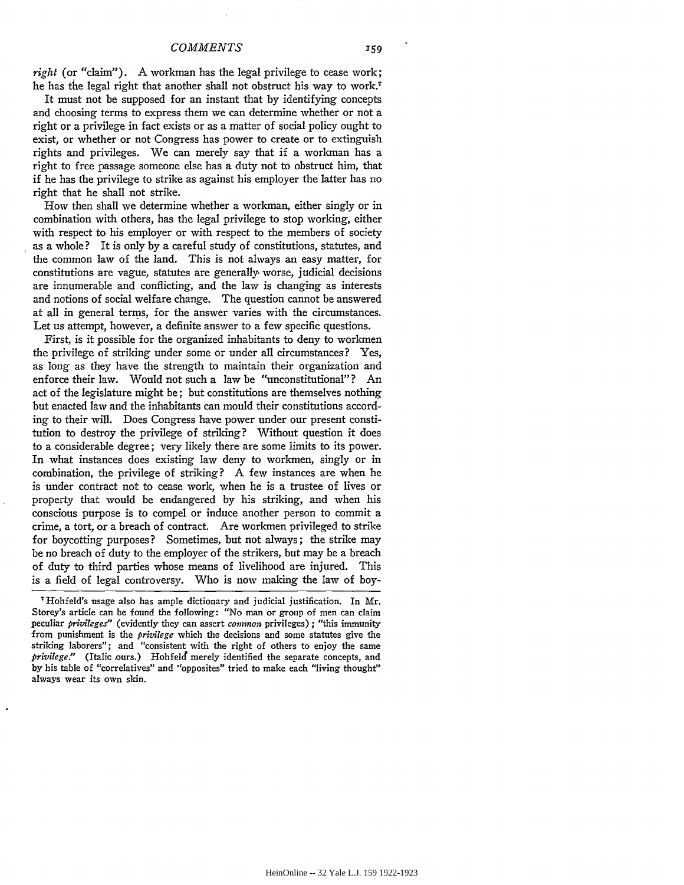*right* (or "claim"). A workman has the legal privilege to cease work; *right* (or "claim"). A workman has the legal privilege to cease work; he has the legal right that another shall not obstruct his way to work.<sup>7</sup>

It must not be supposed for an instant that by identifying concepts It must not be supposed for an instant that by identifying concepts and choosing terms to express them we can determine whether or not a and choosing terms to express them we can determine whether or not a right or a privilege in fact exists or as a matter of social policy ought to right or a privilege in fact exists or as a matter of social policy ought to exist, or whether or not Congress has power to create or to extinguish exist, or whether or not Congress has power to create or to extinguish rights and privileges. We can merely say that if a workman has a rights and privileges. We can merely say that if a workman has a right to free passage someone else has a duty not to obstruct him, that right to free passage someone else has a duty not to obstruct him, that if he has the privilege to strike as against his employer the latter has no if he has the privilege to strike as against his employer the latter has no right that he shall not strike. right that he shall not strike.

How then shall we determine whether a workman, either singly or in How then shall we determine whether a workman, either singly or in combination with others, has the legal privilege to stop working, either combination with others, has the legal privilege to stop working, either with respect to his employer or with respect to the members of society with respect to his employer or with respect to the members of society as a whole? It is only by a careful study of constitutions, statutes, and the common law of the land. This is not always an easy matter, for the common law of the land. This is not always an easy matter, for constitutions are vague, statutes are generally, worse, judicial decisions constitutions are vague, statutes are generally· worse, judicial decisions are innumerable and conflicting, and the law is changing as interests are innumerable and conflicting, and the law is changing as interests and notions of social welfare change. The question cannot be answered and notions of social welfare change. The question cannot be answered at all in general terms, for the answer varies with the circumstances. Let us attempt, however, a definite answer to a few specific questions. Let us attempt, however, a definite answer to a few specific questions.

First, is it possible for the organized inhabitants to deny to workmen First, is it possible for the organized inhabitants to deny to workmen the privilege of striking under some or under all circumstances? Yes, the privilege of striking under some or under all circumstances? Yes, as long as they have the strength to maintain their organization and as long as they have the strength to maintain their organization and enforce their law. Would not such a law be "unconstitutional"? An enforce their law. Would not such a law be "unconstitutional"? An act of the legislature might be; but constitutions are themselves nothing but enacted law and the inhabitants can mould their constitutions accord-but enacted law and the inhabitants can mould their constitutions according to their will. Does Congress have power under our present consti-ing to their wiII. Does Congress have power under our present constitution to destroy the privilege of striking? Without question it does tution to destroy the privilege of striking? Without question it does to a considerable degree; very likely there are some limits to its power. to a considerable degree; very likely there are some limits to its power. In what instances does existing law deny to workmen, singly or in In what instances does existing law deny to workmen, singly or in combination, the privilege of striking? A few instances are when he combination, the privilege of striking? A few instances are when he is under contract not to cease work, when he is a trustee of lives or is under contract not to cease work, when he is a trustee of lives or property that would be endangered by his striking, and when his property that would be endangered by his striking, and when his conscious purpose is to compel or induce another person to commit a conscious purpose is to compel or induce another person to commit a crime, a tort, or a breach of contract. Are workmen privileged to strike crime, a tort, or a breach of contract. Are workmen privileged to strike for boycotting purposes? Sometimes, but not always; the strike may for boycotting purposes? Sometimes, but not always; the strike may be no breach of duty to the employer of the strikers, but may be a breach be no breach of duty to the employer of the strikers, but may be a breach of duty to third parties whose means of livelihood are injured. This of duty to third parties whose means of livelihood are injured. This is a field of legal controversy. Who is now making the law of boy- is a field of legal controversy. Who is now making the law of boy act of the legislature might be; but constitutions are themselves nothing

<sup>&#</sup>x27;Hohfeld's usage also has ample dictionary and judicial justification. In Mr. • Rohfeld's usage also has ample dictionary and judicial justification. In Mr. Storey's article can be found the following: "No man or group of men can claim<br>peculiar *privileges*" (evidently they can assert *common* privileges); "this immunity<br>from punishment is the *brivilege* which the decisions a striking laborers"; and "consistent with the right of others to enjoy the same striking laborers"; and "consistent with the right of others to enjoy the same privilege." (Italic ours.) Hohfeld merely identified the separate concepts, and privilege." by his table of "correlatives" and "opposites" tried to make each "living thought" by his table of "correlatives" and "opposites" tried to make each "living thought" peculiar *privileges*" (evidently they can assert *common* privileges); "this immunity from punishment is the *privilege* which the decisions and some statutes give the always wear its own skin.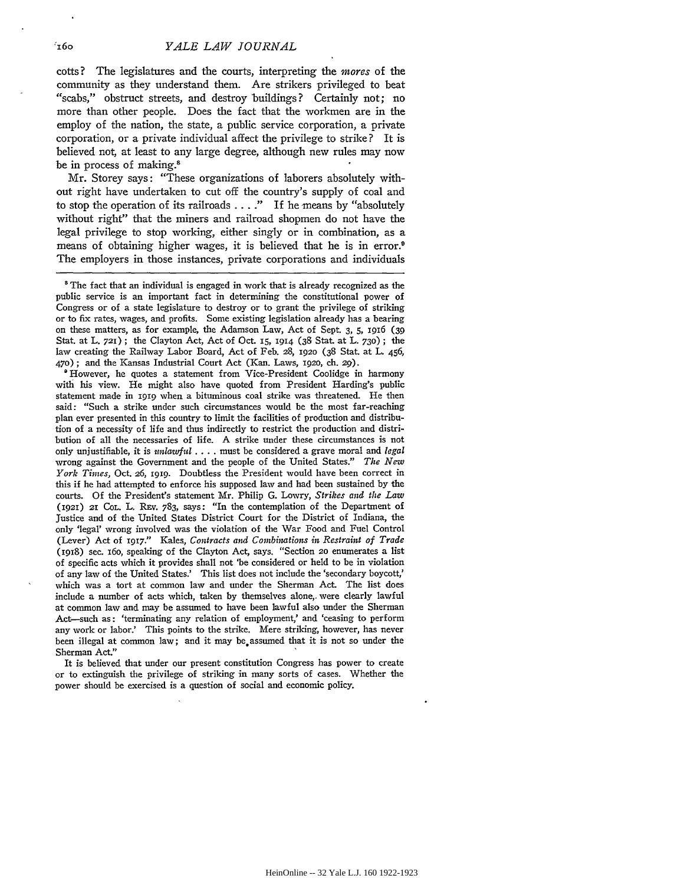cotts? The legislatures and the courts, interpreting the mores of the cotts? The legislatures and the courts, interpreting the *mores* of the community as they understand them. Are strikers privileged to beat "scabs," obstruct streets, and destroy 'buildings? Certainly not; no "scabs," obstruct streets, and destroy buildings? Certainly not; no more than other people. Does the fact that the workmen are in the employ of the nation, the state, a public service corporation, a private employ of the nation, the state, a public service corporation, a private corporation, or a private individual affect the privilege to strike? It is corporation, or a private individual affect the privilege to strike? It is believed not, at least to any large degree, although new rules may now believed not, at least to any large degree, although new rules may now be in process of making.<sup>8</sup>

Mr. Storey says: "These organizations of laborers absolutely with-Mr. Storey says: "These organizations of laborers absolutely without right have undertaken to cut off the country's supply of coal and out right have undertaken to cut off the country's supply of coal and to stop the operation of its railroads  $\ldots$ ." If he means by "absolutely without right" that the miners and railroad shopmen do not have the legal privilege to stop working, either singly or in combination, as a legal privilege to stop working, either singly or in combination, as a means of obtaining higher wages, it is believed that he is in error.<sup>9</sup> The employers in those instances, private corporations and individuals The employers in those instances, private corporations and individuals

However, he quotes a statement from Vice-President Coolidge in harmony • However, he quotes a statement from Vice-President Coolidge in harmony with his view. He might also have quoted from President Harding's public<br>with his view. He might also have quoted from President Harding's public statement made in **1919** when a bituminous coal strike was threatened. He then said: "Such a strike under such circumstances would be the most far-reaching plan ever presented in this country to limit the facilities of production and distribu-plan ever presented in this country to limit the facilities of production and distribution of a necessity of life and thus indirectly to restrict the production and distri-tion of a necessity of life and thus indirectly to restrict the production and distribution of all the necessaries of life. A strike under these circumstances is not only under the necessaries of life. only unjustifiable, it is *unlawful* .... must be considered a grave moral and legal only unjustifiable, it is *1mlawflll* .••. must be considered <sup>a</sup> grave moral and *legal* wrong against the Government and the people of the United States." *The New* wrong against the Government and the people of the United States." *The New York Times,* Oct. 26, **1919.** Doubtless the President would have been correct in *York Times,* Oct. 26, 1919. Doubtless the President would have been correct in this if he had attempted to enforce his supposed law and had been sustained by the  $\sim$ courts. **Of** the President's statement Mr. Philip G. Lowry, *Strikes and the Law* courts. Of the President's statement Mr. Philip G. Lowry, *Strikes alld the Law* **(1921)** 21 CoL. L. R.v. 783, says: "In the contemplation of the Department of (1921) 21 COL. L. REv. 783, says: "In the contemplation of the Department of Justice and of the United States District Court for the District of Indiana, the Justice and of the United States District Court for the District of Indiana, the only 'legal' wrong involved was the violation of the War Food and Fuel Control<br>(i) and the control of the Control control Control in Persistent of Turks (Lever) Act of **1917."** Kales, *Contracts and Combinations in Restraint of Trade* (Lever) Act of 1917." Kales, *COlltracts and Combinatiolls in Restraillt of Trade* (1918) sec. 16o, speaking of the Clayton Act, says. "Section **20** enumerates a list (1918) sec. 160, speaking of the Clayton Act, says. "Section 20 enumerates a list of specific acts which it provides shall not 'be considered or held to be in violation of any law of the United States.' This list does not include the 'secondary boycott,' of any law of the United States.' This list does not include the 'secondary boycott,' which was a tort at common law and under the Sherman Act. The list does include a number of acts which, taken by themselves alone, were clearly lawful at common law and may be assumed to have been lawful also under the Sherman Act-such as: 'terminating any relation of employment,' and 'ceasing to perform any work or labor.' This points to the strike. Mere striking, however, has never been illegal at common law; and it may be assumed that it is not so under the Sherman Act." Sherman Act." .

It is believed that under our present constitution Congress has power to create It is believed that under our present constitution Congress has power to create or to extinguish the privilege of striking in many sorts of cases. Whether the or to extinguish the privilege of striking in many sorts of cases. Whether the power should be exercised is a question of social and economic policy. power should be exercised is a question of social and economic policy.

<sup>&</sup>lt;sup>8</sup> The fact that an individual is engaged in work that is already recognized as the public service is an important fact in determining the constitutional power of public service is an important fact in determining the constitutional power of Congress or of a state legislature to destroy or to grant the privilege of striking Congress or of a state legislature to destroy or to grant the privilege of striking or to fix rates, wages, and profits. Some existing legislation already has a bearing or to fix rates, wages, and profits. Some existing legislation already has a bearing on these matters, as for example, the Adamson Law, Act of Sept. 3, 5, 1916 (39) Stat. at L. 721); the Clayton Act, Act of Oct. 15, 1914 (38 Stat. at L. 730); the law creating the Railway Labor Board, Act of Feb. 28, 1920 (38 Stat. at L. 456, *47o)* **;** and the Kansas Industrial Court Act (Kan. Laws, 192o, ch. 29). 470); and the Kansas Industrial Court Act (Kan. Laws, 1920, ch. 29).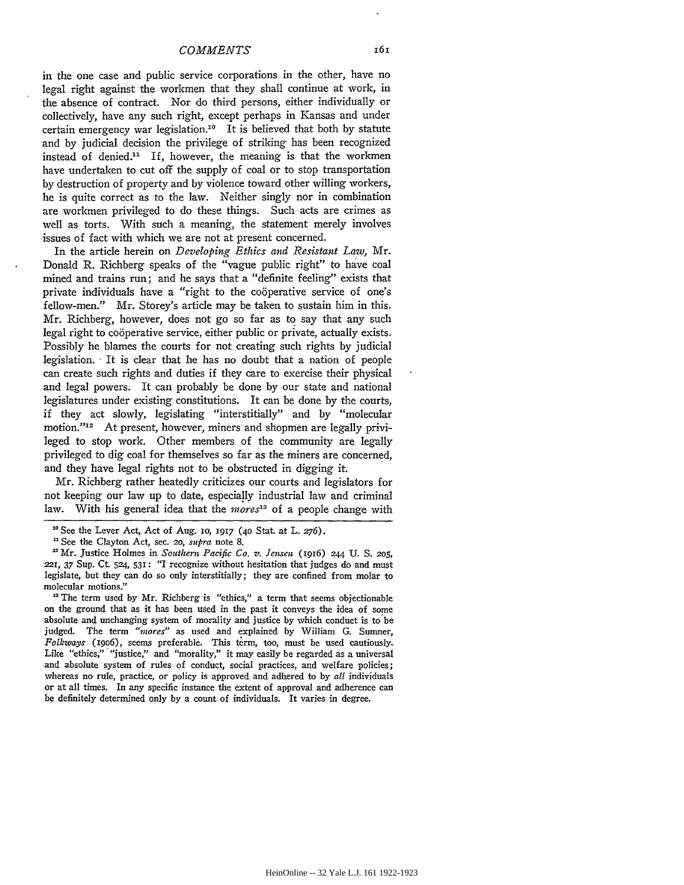in the one case and public service corporations in the other, have no legal right against the workmen that they shall continue at work, in legal right against the workmen that they shall continue at work, in the absence of contract. Nor do third persons, either individually or the absence of contract. Nor do third persons, either individually or collectively, have any such right, except perhaps in Kansas and under collectively, have any such right, except perhaps in Kansas and under certain emergency war legislation.1O It is believed that both by statute certain emergency war legislation.10 It is believed that both by statute ertain einergency war regissation. The is beneved that both by statute<br>and by judicial decision the privilege of striking has been recognized<br>instead of denied.<sup>11</sup> If, however, the meaning is that the workmen have undertaken to cut off the supply of coal or to stop transportation<br>by destruction of property and by violence toward other willing workers,<br>he is quite correct as to the law. Neither singly nor in combination are workmen privileged to do these things. Such acts are crimes as are workmen privileged to do these things. Such acts are crimes as well as torts. With such a meaning, the statement merely involves well as torts. With such a meaning, the statement merely involves issues of fact with which we are not at present concerned. issues of fact with which we are not at present concerned. in the one case and public service corporations in the other, have no instead of denied.<sup>11</sup> If, however, the meaning is that the workmen by destruction of property and by violence toward other willing workers, he is quite correct as to the law. Neither singly nor in combination

In the article herein on *Developing Ethics and Resistant Law*, Mr.<br>Donald R. Richberg speaks of the "vague public right" to have coal mined and trains run; and he says that a "definite feeling" exists that mined and trains run; and he says that a "definite feeling" exists that private individuals have a "right to the co6perative service of one's private individuals have a "right to the cooperative service of one's fellow-men." Mr. Storey's article may be taken to sustain him in this. fellow-men." Mr. Storey's article may be taken to sustain him in this. Mr. Richberg, however, does not go so far as to say that any such Mr. Richberg, however, does not go so far as to say that any such legal right to co6perative service, either public or private, actually exists. legal right to cooperative service, either public or private, actually exists. Possibly he blames the courts for not creating such rights by judicial legislation.- It is clear that he has no doubt that a nation of people Possibly he blames the courts for not creating such rights by judicial can create such rights and duties if they care to exercise their physical and legal powers. It can probably be done by our state and national can create such rights and duties if they care to exercise their physical and legal powers. It can probably be done by our state and handonal<br>legislatures under existing constitutions. It can be done by the courts,<br>if they act slowly legislating "interstitially" and by "molecular m dicy act slowly, legislating interstituting and by indectual<br>motion."<sup>12</sup> At present, however, miners and shopmen are legally privi-<br>leged to stop work. Other members of the community are legally<br>privileged to dig coal f and they have legal rights not to be obstructed in digging it. and they have legal rights not to be obstructed in digging it. " Donald R. Richberg speaks of the "vague public right" to have coal legislation. " It is clear that he has no doubt that a nation of people and legal powers. It can probably be done by our state and national if they act slowly, legislating "interstitially" and by "molecular leged to stop work. Other members of the community are legally privileged to dig coal for themselves so far as the miners are concerned,

Mr. Richberg rather heatedly criticizes our courts and legislators for Mr. Richberg rather heatedly criticizes our courts and legislators for not keeping our law up to date, especially industrial law and criminal not keeping our law up to date, especia!ly industrial law and criminal law. With his general idea that the *mores"'* of a people change with law. With his general idea that the *nzores13* of a people change with

molecular motions."<br>
<sup>13</sup> The term used by Mr. Richberg is "ethics," a term that seems objectionable<br>
on the ground that as it has been used in the past it conveys the idea of some<br>
absolute and unchanging system of moral <sup>13</sup> The term used by Mr. Richberg is "ethics," a term that seems objectionable on the ground that as it has been used in the past it conveys the idea of some absolute and unchanging system of morality and justice by which conduct is to'be judged. The term *"mores"* as used and explained by William G. Sumner, *Folkways (1906),* seems preferable. This term, too, must be used cautiously. Like "ethics," "justice," and "morality," it may easily be regarded as a universal and absolute system of rules of conduct, social practices, and welfare policies; whereas no rule, practice, or policy is approved and adhered to by *all* individuals or at all times. In any specific instance the extent of approval and adherence can be definitely determined only by a count of individuals. It varies in degree.

<sup>&</sup>lt;sup>10</sup> See the Lever Act, Act of Aug. 10, 1917 (40 Stat. at L. 276).

<sup>&</sup>lt;sup>11</sup> See the Clayton Act, sec. 20, *supra* note 8.

Example 12 and 12. 279.<br>
The file Clayton Act, sec. 20, suppra note 8.<br>
" Mr. Justice Holmes in Southern Pacific Co. v. Jensen (1916) 244 U. S. 205,<br>
221, 37 Sup. Ct. 524, 531: "I recognize without hesitation that judges molecular motions." molecular motions." <sup>12</sup> Mr. Justice Holmes in *Southern Pacific Co. v. Jensen* (1916) 244 U. S. 205, legislate, but they can do so only interstitially; they are confined from molar to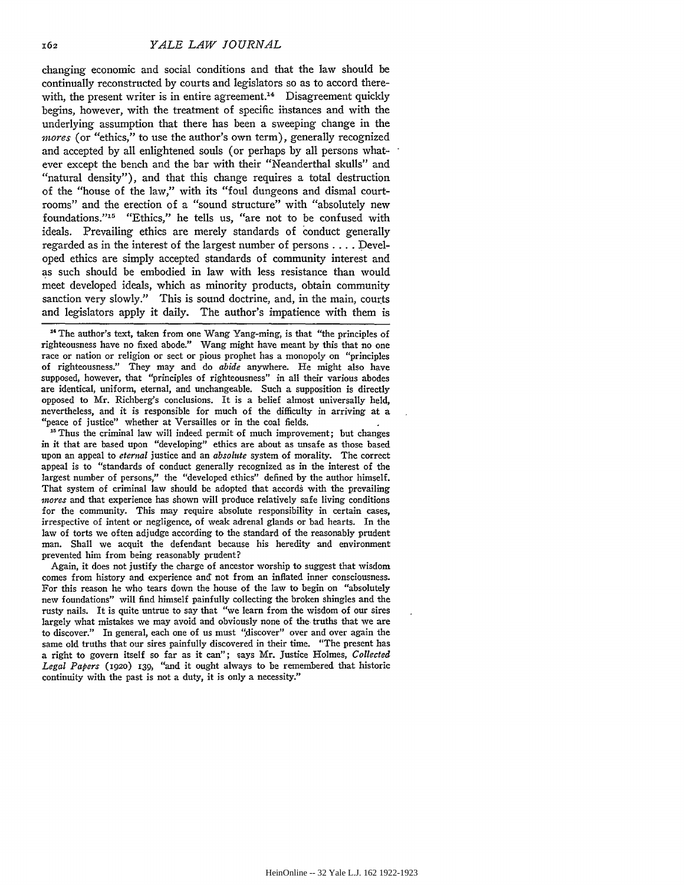changing economic and social conditions and that the law should be changing economic and social conditions and that the law should be continually reconstructed by courts and legislators so as to accord there-continually reconstructed by courts and legislators so as to accord therewith, the present writer is in entire agreement.<sup>14</sup> Disagreement quickly begins, however, with the treatment of specific ihstances and with the begins, however, with the treatment of specific instances and with the underlying assumption that there has been a sweeping change in the underlying assumption that there has been a sweeping change in the *mores* (or "ethics," to use the author's own term), generally recognized *mores* (or "ethics," to use the author's own term), generally recognized and accepted by all enlightened souls (or perhaps by all persons what-and accepted by all enlightened souls (or perhaps by all persons whatever except the bench and the bar with their "Neanderthal skulls" and ever except the bench and the bar with their "Neanderthal skulls" and "natural density"), and that this change requires a total destruction "natural density"), and that this change requires a total destruction of the "house of the law," with its "foul dungeons and dismal courtrooms" and the erection of a "sound structure" with "absolutely new foundations."<sup>15</sup> "Ethics," he tells us, "are not to be confused with ideals. Prevailing ethics are merely standards of conduct generally regarded as in the interest of the largest number of persons .... Devel-regarded as in the interest of the largest number of persons .... peveloped ethics are simply accepted standards of community interest and oped ethics are simply accepted standards of community interest and as such should be embodied in law with less resistance than would as such should be embodied in law with less resistance than would meet developed ideals, which as minority products, obtain community meet developed ideals, which as minority products, obtain community sanction very slowly." This is sound doctrine, and, in the main, courts and legislators apply it daily. The author's impatience with them is and legislators apply it daily. The author's impatience with them is

<sup>14</sup> The author's text, taken from one Wang Yang-ming, is that "the principles of righteousness have no fixed abode." Wang might have meant by this that no one righteousness have no fixed abode." Wang might have meant by this that no one race or nation or religion or sect or pious prophet has a monopoly on "principles race or nation or religion or sect or pious prophet has a monopoly on "principles of righteousness." They may and do *abide* anywhere. He might also have supposed, however, that "principles of righteousness" in all their various abodes supposed, however, that "principles of righteousness" in all their various are identical, uniform, eternal, and unchangeable. Such a supposition is directly are identical, uniform, eternal, and unchangeable. Such a supposition is directly opposed to Mr. Richberg's conclusions. It is a belief almost universally held, nevertheless, and it is responsible for much of the difficulty in arriving at a nevertheless, and it is responsible for much of the difficulty in arriving at a "peace of justice" whether at Versailles or in the coal fields. "peace of justice" whether at Versailles or in the coal fields.

<sup>15</sup> Thus the criminal law will indeed permit of much improvement; but changes in it that are based upon "developing" ethics are about as unsafe as those based in it that are based upon "developing" ethics are about as unsafe as those upon an appeal to eternal justice and an *absolute* system of morality. The correct upon an appeal to *eternal* justice and an *absol1tte* system of morality. The correct appeal is to "standards of conduct generally recognized as in the interest of the largest number of persons," the "developed ethics" defined **by** the author himself. largest number of persons," the "developed ethics" defined by the author That system of criminal law should be adopted that accords with the prevailing mores and that experience has shown will produce relatively safe living conditions<br>for the community. This may require absolute responsibility in certain cases, for the community. This may require absolute responsibility in certain cases, irrespective of intent or negligence, of weak adrenal glands or bad hearts. In the irrespective of intent or negligence, of weak adrenal glands or bad hearts. In the law of torts we often adjudge according to the standard of the reasonably prudent law of torts we often adjudge according to the standard of the reasonably prudent man. Shall we acquit the defendant because his heredity and environment man. Shall we acquit the defendant because his heredity and environment prevented him from being reasonably prudent? prevented him from being reasonably prudent?

Again, it does not justify the charge of ancestor worship to suggest that wisdom<br>comes from history and experience and not from an inflated inner consciousness. comes from history and experience and not from an inflated inner consciousness. For this reason he who tears down the house of the law to begin on "absolutely For this reason he who tears down the house of the law to begin on "absolutely<br>new foundations" will find himself painfully collecting the broken shingles and the rusty nails. It is quite untrue to say that "we learn from the wisdom of our sires rusty nails. It is quite untrue to say that "we learn from the wisdom of our sires largely what mistakes we may avoid and obviously none of the-truths that we are largely what mistakes we may avoid and obviously none of the· truths that we are to discover." In general, each one of us must "discover" over and over again the same old truths that our sires painfully discovered in their time. "The present has same old truths that our sires painfully discovered in their time. "The present has a right to govern itself so far as it can"; says Mr. Justice Holmes, *Collected* a right to govern itself so far as it can"; says Mr. Justice Holmes, *Collected Legal Papers* **(i92o) 139,** "and it ought always to be remembered that historic *Legal Papers* (1920) 139, "and it ought always to be remembered that historic continuity with the past is not a duty, it is only a necessity." continuity with the past is not a duty, it is only a necessity."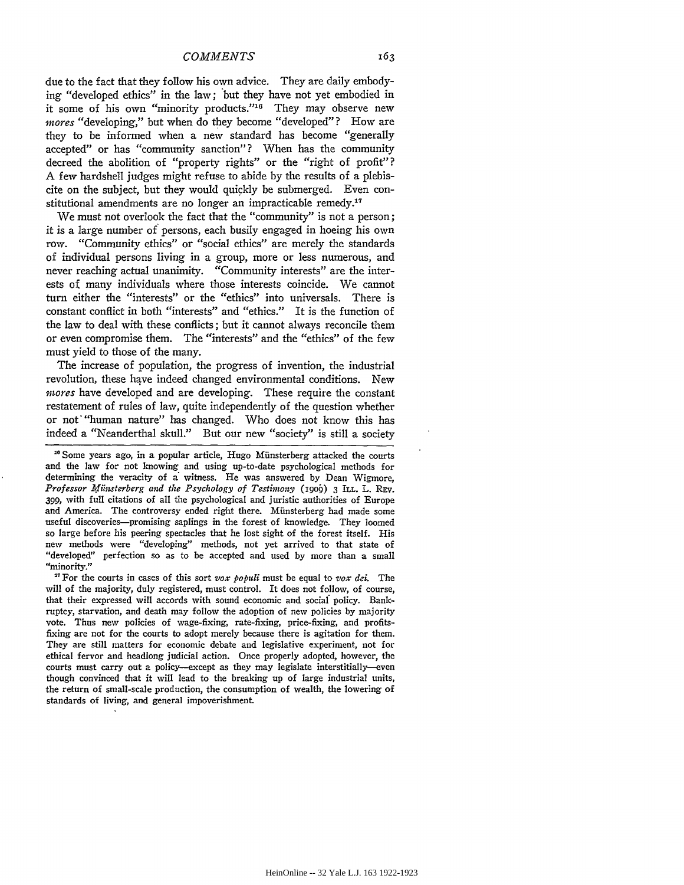due to the fact that they follow his own advice. They are daily embody-<br>ing "developed ethics" in the law; but they have not yet embodied in it some of his own "minority products."<sup>16</sup> They may observe new *mores* "developing," but when do they become "developed"? How are *mores* "developing," but when do they become "developed"? How are they to be informed when a new standard has become "generally<br>ccepted" or has "community sanction"? When has the community<br>lecreed the abolition of "property rights" or the "right of profit"?<br>A few hardshell judges might r stitutional amendments are no longer an impracticable remedy.17 stitutional amendments are no longer an impracticable remedy.17 ing "developed ethics" in the law; "but they have not yet embodied in they to be informed when a new standard has become "generally accepted" or has "community sanction"? When has the community decreed the abolition of "property rights" or the "right of profit"? A few hardshell judges might refuse to abide by the results of a plebiscite on the subject, but they would quickly be submerged. Even con-

We must not overlook the fact that the "community" is not a person;<br>t is a large number of persons, each busily engaged in hoeing his own row. "Community ethics" or "social ethics" are merely the standards row. "Community ethics" or "social ethics" are merely the standards of individual persons living in a group, more or less numerous, and of individual persons living in a group, more or less numerous, and never reaching actual unanimity. "Community interests" are the inter-never reaching actual unanimity. "Community interests" are the interests of many individuals where those interests coincide. We cannot ests of many individuals where those interests coincide. We cannot turn either the "interests" or the "ethics" into universals. There is turn either the "interests" or the "ethics" into universals. There is constant conflict in both "interests" and "ethics." It is the function of constant conflict in both "interests" and "ethics." It is the function of the law to deal with these conflicts; but it cannot always reconcile them the law to deal with these conflicts; but it cannot always reconcile them or even compromise them. The "interests" and the "ethics" of the few or even compromise them. The "interests" and the "ethics" of the few must yield to those of the many. must yield to those of the many. it is <sup>a</sup> large number *ot* persons, each busily engaged in hoeing his own

The increase of population, the progress of invention, the industrial The increase of population, the progress of invention, the industrial The merchand or population, the progress of invention, the maustrial revolution, these have indeed changed environmental conditions. New *mores* have developed and are developing. These require the constant *mores* have developed and are developing. These require the constant mores have developed and are developing. These require the constant restatement of rules of law, quite independently of the question whether or not\* "human nature" has changed. Who does not know this has or not' "human nature" has changed. Who does not know this has indeed a "Neanderthal skull." But our new "society" is still a society indeed a "Neanderthal skull." But our new "society" is still a society

<sup>16</sup> Some years ago, in a popular article, Hugo Münsterberg attacked the courts <sup>16</sup> Some years ago, in a popular article, Hugo Münsterberg attacked the courts<br>and the law for not knowing and using up-to-date psychological methods for<br>determining the veracity of a witness. He was answered by Dean Wigm "minority." "minority." and the law for not knowing and using up-to-date psychological methods for determining the veracity of a' witness. He was answered by Dean Wigmore, *Professor Münsterberg and the Psychology of Testimony* (1909) 3 ILL. L. REv. 399, with full citations of all the psychological and juristic authorities of Europe and America. The controversy ended right there. Miinsterberg had made some useful discoveries-promising saplings in the forest of knowledge. They loomed so large before his peering spectacles that he lost sight of the forest itself. His new methods were "developing" methods, not yet arrived to that state of "developed" perfection so as to be accepted and used by more than a small

<sup>17</sup> For the courts in cases of this sort *vox populi* must be equal to *vox dei*. The will of the majority, duly registered, must control. It does not follow, of course, that their expressed will accords with sound econo that their expressed will accords with solid economic and social policy. Bank-<br>ruptcy, starvation, and death may follow the adoption of new policies by majority<br>vote. Thus new policies of wage-fixing, rate-fixing, price-fi educal fervor and headibility judicial action. Once properly adopted, however, the<br>courts must carry out a policy—except as they may legislate interstitially—even<br>though convinced that it will lead to the breaking up of la standards of living, and general impoverishment. standards of living, and general impoverishment.will of the majority, duly registered, must control. It does not follow, of course, that their expressed will accords with sound economic and social policy. Bankruptcy, starvation, and death may follow the adoption of new policies by majority vote. Thus new policies of wage-fixing, rate-fixing, price-fixing, and profitsfixing are not for the courts to adopt merely because there is agitation for them. They are still matters for economic debate and legislative experiment, not for though convinced that it will lead to the breaking up of large industrial units, the return of small-scale production, the consumption of wealth, the lowering of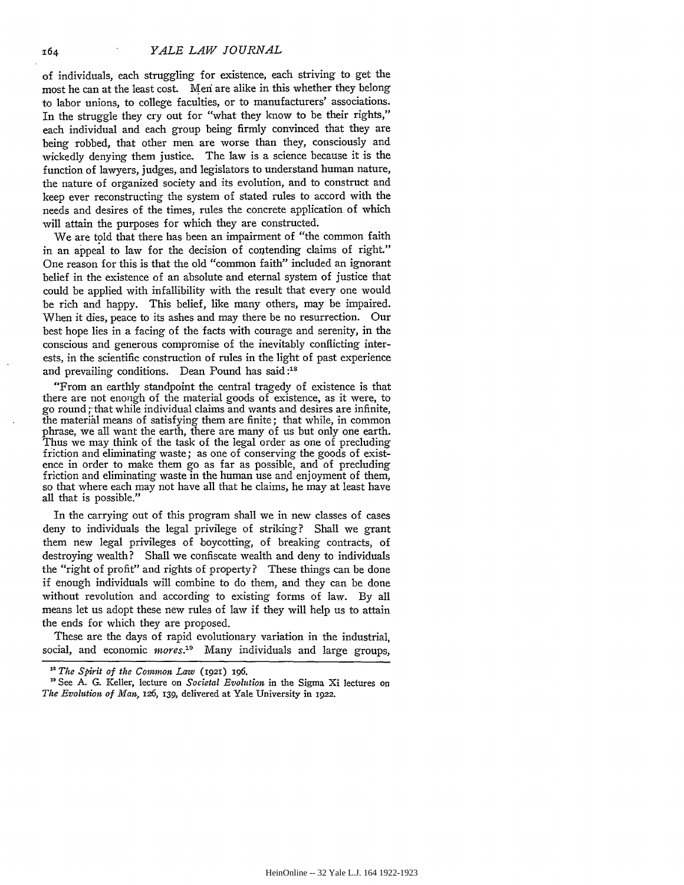of individuals, each struggling for existence, each striving to get the of individuals, each struggling for existence, each striving to get the most he can at the least cost. Men are alike in this whether they belong to labor unions, to college faculties, or to manufacturers' associations. In the struggle they cry out for "what they know to be their rights," each individual and each group being firmly convinced that they are each individual and each group being firmly convinced that they are being robbed, that other men are worse than they, consciously and being robbed, that other men are worse than they, consciously and wickedly denying them justice. The law is a science because it is the<br>wickedly denying them justice. The law is a science because it is the function of lawyers, judges, and legislators to understand human nature, the nature of organized society and its evolution, and to construct and the nature of organized society and its evolution, and to construct and keep ever reconstructing the system of stated rules to accord with the keep ever reconstructing the system of stated rules to accord with the needs and desires of the times, rules the concrete application of which will attain the purposes for which they are constructed.

We are told that there has been an impairment of "the common faith" in an appeal to law for the decision of contending claims of right." One reason for this is that the old "common faith" included an ignorant One reason for this is that the old "common faith" included an ignorant belief in the existence of an absolute and eternal system of justice that belief in the existence of an absolute and eternal system of justice that could be applied with infallibility with the result that every one would be rich and happy. This belief, like many others, may be impaired. be rich and happy. This belief, like many others, may be impaired. When it dies, peace to its ashes and may there be no resurrection. Our When it dies, peace to its ashes and may there be no resurrection. Our best hope lies in a facing of the facts with courage and serenity, in the best hope lies in a facing of the facts with courage and serenity, in the conscious and generous compromise of the inevitably conflicting inter-conscious and generous compromise of the inevitably conflicting interests, in the scientific construction of rules in the light of past experience and prevailing conditions. Dean Pound has said:<sup>18</sup>

"From an earthly standpoint the central tragedy of existence is that "From an earthly standpoint the central tragedy of existence is that there are not enough of the material goods of existence, as it were, to there are not enough of the material goods of existence, as it were, to<br>go round; that while individual claims and wants and desires are infinite,<br>the waterial masses of articlaring them are faites, that while is common the material means of satisfying them are finite; that while, in common<br>change are all meat the satisfying them are many of so het salve are satisfy phrase, we all want the earth, there are many of us but only one earth. phrase, we all want the earth, there are many of us but only one earth. Thus we may think of the task of the legal order as one of precluding Thus we may think of the task of the legal order as one of precluding friction and eliminating waste; as one of conserving the goods of existence in order to make them go as far as possible, and of precluding<br>faither and dimination graphs in the human are and order them at a falsen friction and eliminating waste in the human use and enjoyment of them, friction and eliminating waste in the human use and enjoyment of them,<br>so that where each may not have all that he claims, he may at least have<br>all that is possible." all that is possible."

In the carrying out of this program shall we in new classes of cases deny to individuals the legal privilege of striking? Shall we grant them new legal privileges of boycotting, of breaking contracts, of destroying wealth? Shall we confiscate wealth and deny to individuals the "right of profit" and rights of property? These things can be done if enough individuals will combine to do them, and they can be done without revolution and according to existing forms of law. By all without revolution and according to existing forms of law. By all means let us adopt these new rules of law if they will help us to attain means let us adopt these new rules of law if they will help us to attain the ends for which they are proposed. the ends for which they are proposed. In the carrying out of this program shall we in new classes of cases<br>deny to individuals the legal privilege of striking? Shall we grant<br>them new legal privileges of boycotting, of breaking contracts, of<br>destroying wealth?

These are the days of rapid evolutionary variation in the industrial, These are the days of rapid evolutionary variation in the industrial, social, and economic *mores."* Many individuals and large groups, social, and economic *mores.1.0* Many individuals and large groups,

**164** 

<sup>&#</sup>x27; *The Spirit of the Com'mon Law* (1921) 196. *<sup>18</sup> The Spirit of the COllll/lwn Law* (1921) 196.

<sup>&</sup>lt;sup>10</sup> See A. G. Keller, lecture on *Societal Evolution* in the Sigma Xi lectures on *The Evolution of Man,* 126, 139, delivered at Yale University in 1922. *The Evolittion of* lVfal~> 126, 139, delivered at Yale University in 1922.